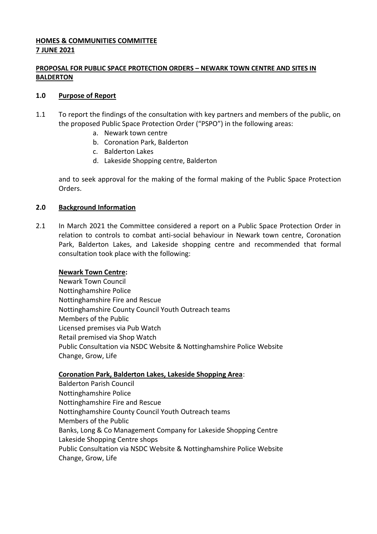## **HOMES & COMMUNITIES COMMITTEE 7 JUNE 2021**

## **PROPOSAL FOR PUBLIC SPACE PROTECTION ORDERS – NEWARK TOWN CENTRE AND SITES IN BALDERTON**

## **1.0 Purpose of Report**

- 1.1 To report the findings of the consultation with key partners and members of the public, on the proposed Public Space Protection Order ("PSPO") in the following areas:
	- a. Newark town centre
	- b. Coronation Park, Balderton
	- c. Balderton Lakes
	- d. Lakeside Shopping centre, Balderton

and to seek approval for the making of the formal making of the Public Space Protection Orders.

## **2.0 Background Information**

2.1 In March 2021 the Committee considered a report on a Public Space Protection Order in relation to controls to combat anti-social behaviour in Newark town centre, Coronation Park, Balderton Lakes, and Lakeside shopping centre and recommended that formal consultation took place with the following:

### **Newark Town Centre:**

Newark Town Council Nottinghamshire Police Nottinghamshire Fire and Rescue Nottinghamshire County Council Youth Outreach teams Members of the Public Licensed premises via Pub Watch Retail premised via Shop Watch Public Consultation via NSDC Website & Nottinghamshire Police Website Change, Grow, Life

### **Coronation Park, Balderton Lakes, Lakeside Shopping Area**:

Balderton Parish Council Nottinghamshire Police Nottinghamshire Fire and Rescue Nottinghamshire County Council Youth Outreach teams Members of the Public Banks, Long & Co Management Company for Lakeside Shopping Centre Lakeside Shopping Centre shops Public Consultation via NSDC Website & Nottinghamshire Police Website Change, Grow, Life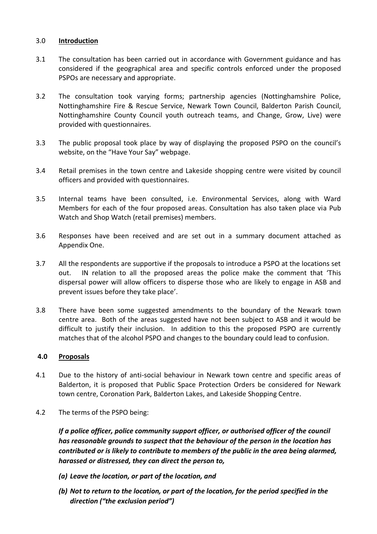### 3.0 **Introduction**

- 3.1 The consultation has been carried out in accordance with Government guidance and has considered if the geographical area and specific controls enforced under the proposed PSPOs are necessary and appropriate.
- 3.2 The consultation took varying forms; partnership agencies (Nottinghamshire Police, Nottinghamshire Fire & Rescue Service, Newark Town Council, Balderton Parish Council, Nottinghamshire County Council youth outreach teams, and Change, Grow, Live) were provided with questionnaires.
- 3.3 The public proposal took place by way of displaying the proposed PSPO on the council's website, on the "Have Your Say" webpage.
- 3.4 Retail premises in the town centre and Lakeside shopping centre were visited by council officers and provided with questionnaires.
- 3.5 Internal teams have been consulted, i.e. Environmental Services, along with Ward Members for each of the four proposed areas. Consultation has also taken place via Pub Watch and Shop Watch (retail premises) members.
- 3.6 Responses have been received and are set out in a summary document attached as Appendix One.
- 3.7 All the respondents are supportive if the proposals to introduce a PSPO at the locations set out. IN relation to all the proposed areas the police make the comment that 'This dispersal power will allow officers to disperse those who are likely to engage in ASB and prevent issues before they take place'.
- 3.8 There have been some suggested amendments to the boundary of the Newark town centre area. Both of the areas suggested have not been subject to ASB and it would be difficult to justify their inclusion. In addition to this the proposed PSPO are currently matches that of the alcohol PSPO and changes to the boundary could lead to confusion.

### **4.0 Proposals**

- 4.1 Due to the history of anti-social behaviour in Newark town centre and specific areas of Balderton, it is proposed that Public Space Protection Orders be considered for Newark town centre, Coronation Park, Balderton Lakes, and Lakeside Shopping Centre.
- 4.2 The terms of the PSPO being:

*If a police officer, police community support officer, or authorised officer of the council has reasonable grounds to suspect that the behaviour of the person in the location has contributed or is likely to contribute to members of the public in the area being alarmed, harassed or distressed, they can direct the person to,* 

- *(a) Leave the location, or part of the location, and*
- *(b) Not to return to the location, or part of the location, for the period specified in the direction ("the exclusion period")*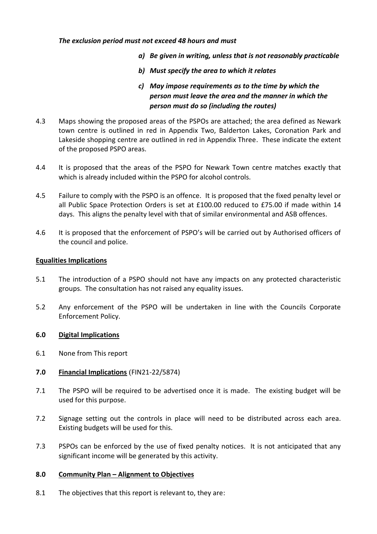### *The exclusion period must not exceed 48 hours and must*

- *a) Be given in writing, unless that is not reasonably practicable*
- *b) Must specify the area to which it relates*

# *c) May impose requirements as to the time by which the person must leave the area and the manner in which the person must do so (including the routes)*

- 4.3 Maps showing the proposed areas of the PSPOs are attached; the area defined as Newark town centre is outlined in red in Appendix Two, Balderton Lakes, Coronation Park and Lakeside shopping centre are outlined in red in Appendix Three. These indicate the extent of the proposed PSPO areas.
- 4.4 It is proposed that the areas of the PSPO for Newark Town centre matches exactly that which is already included within the PSPO for alcohol controls.
- 4.5 Failure to comply with the PSPO is an offence. It is proposed that the fixed penalty level or all Public Space Protection Orders is set at £100.00 reduced to £75.00 if made within 14 days. This aligns the penalty level with that of similar environmental and ASB offences.
- 4.6 It is proposed that the enforcement of PSPO's will be carried out by Authorised officers of the council and police.

### **Equalities Implications**

- 5.1 The introduction of a PSPO should not have any impacts on any protected characteristic groups. The consultation has not raised any equality issues.
- 5.2 Any enforcement of the PSPO will be undertaken in line with the Councils Corporate Enforcement Policy.

### **6.0 Digital Implications**

- 6.1 None from This report
- **7.0 Financial Implications** (FIN21-22/5874)
- 7.1 The PSPO will be required to be advertised once it is made. The existing budget will be used for this purpose.
- 7.2 Signage setting out the controls in place will need to be distributed across each area. Existing budgets will be used for this.
- 7.3 PSPOs can be enforced by the use of fixed penalty notices. It is not anticipated that any significant income will be generated by this activity.

#### **8.0 Community Plan – Alignment to Objectives**

8.1 The objectives that this report is relevant to, they are: